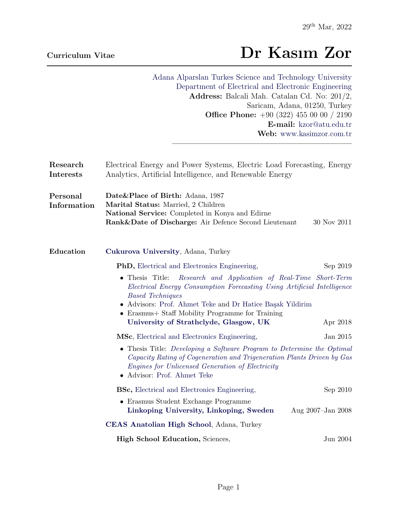# Curriculum Vitae Dr Kasım Zor

[Adana Alparslan Turkes Science and Technology University](http://www.atu.edu.tr) [Department of Electrical and Electronic Engineering](http://eee.atu.edu.tr) Address: Balcali Mah. Catalan Cd. No: 201/2, Saricam, Adana, 01250, Turkey Office Phone: +90 (322) 455 00 00 / 2190 E-mail: [kzor@atu.edu.tr](mailto:kzor@atu.edu.tr) Web: [www.kasimzor.com.tr](http://www.kasimzor.com.tr/) ————————————————————–

| Research<br>Interests   | Electrical Energy and Power Systems, Electric Load Forecasting, Energy<br>Analytics, Artificial Intelligence, and Renewable Energy                                                                                                                                                                                                                |                   |
|-------------------------|---------------------------------------------------------------------------------------------------------------------------------------------------------------------------------------------------------------------------------------------------------------------------------------------------------------------------------------------------|-------------------|
| Personal<br>Information | Date&Place of Birth: Adana, 1987<br>Marital Status: Married, 2 Children<br>National Service: Completed in Konya and Edirne<br>Rank&Date of Discharge: Air Defence Second Lieutenant                                                                                                                                                               | 30 Nov 2011       |
| Education               | Cukurova University, Adana, Turkey                                                                                                                                                                                                                                                                                                                |                   |
|                         | <b>PhD</b> , Electrical and Electronics Engineering,                                                                                                                                                                                                                                                                                              | Sep 2019          |
|                         | • Thesis Title:<br>Research and Application of Real-Time Short-Term<br>Electrical Energy Consumption Forecasting Using Artificial Intelligence<br><b>Based Techniques</b><br>• Advisors: Prof. Ahmet Teke and Dr Hatice Başak Yildirim<br>• Erasmus + Staff Mobility Programme for Training<br>University of Strathclyde, Glasgow, UK<br>Apr 2018 |                   |
|                         | MSc, Electrical and Electronics Engineering,                                                                                                                                                                                                                                                                                                      | Jan 2015          |
|                         | • Thesis Title: Developing a Software Program to Determine the Optimal<br>Capacity Rating of Cogeneration and Trigeneration Plants Driven by Gas<br><i>Engines for Unlicensed Generation of Electricity</i><br>• Advisor: Prof. Ahmet Teke                                                                                                        |                   |
|                         | <b>BSc,</b> Electrical and Electronics Engineering,                                                                                                                                                                                                                                                                                               | Sep 2010          |
|                         | • Erasmus Student Exchange Programme<br>Linkoping University, Linkoping, Sweden                                                                                                                                                                                                                                                                   | Aug 2007-Jan 2008 |
|                         | CEAS Anatolian High School, Adana, Turkey                                                                                                                                                                                                                                                                                                         |                   |
|                         | <b>High School Education</b> , Sciences,                                                                                                                                                                                                                                                                                                          | Jun 2004          |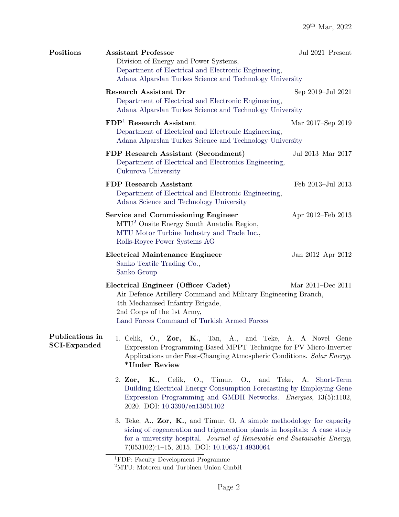| Positions           | <b>Assistant Professor</b><br>Division of Energy and Power Systems,<br>Department of Electrical and Electronic Engineering,<br>Adana Alparslan Turkes Science and Technology University                                                                                            | Jul 2021-Present  |
|---------------------|------------------------------------------------------------------------------------------------------------------------------------------------------------------------------------------------------------------------------------------------------------------------------------|-------------------|
|                     | <b>Research Assistant Dr</b><br>Department of Electrical and Electronic Engineering,<br>Adana Alparslan Turkes Science and Technology University                                                                                                                                   | Sep 2019-Jul 2021 |
|                     | $FDP1$ Research Assistant<br>Department of Electrical and Electronic Engineering,<br>Adana Alparslan Turkes Science and Technology University                                                                                                                                      | Mar 2017–Sep 2019 |
|                     | FDP Research Assistant (Secondment)<br>Department of Electrical and Electronics Engineering,<br>Cukurova University                                                                                                                                                                | Jul 2013-Mar 2017 |
|                     | <b>FDP</b> Research Assistant<br>Department of Electrical and Electronic Engineering,<br>Adana Science and Technology University                                                                                                                                                   | Feb 2013-Jul 2013 |
|                     | <b>Service and Commissioning Engineer</b><br>MTU <sup>2</sup> Onsite Energy South Anatolia Region,<br>MTU Motor Turbine Industry and Trade Inc.,<br>Rolls-Royce Power Systems AG                                                                                                   | Apr 2012–Feb 2013 |
|                     | <b>Electrical Maintenance Engineer</b><br>Sanko Textile Trading Co.,<br>Sanko Group                                                                                                                                                                                                | Jan 2012–Apr 2012 |
|                     | Electrical Engineer (Officer Cadet)<br>Air Defence Artillery Command and Military Engineering Branch,<br>4th Mechanised Infantry Brigade,<br>2nd Corps of the 1st Army,<br>Land Forces Command of Turkish Armed Forces                                                             | Mar 2011-Dec 2011 |
| <b>SCI-Expanded</b> | <b>Publications in</b> 1. Celik, O., Zor, K., Tan, A., and Teke, A. A Novel Gene<br>Expression Programming-Based MPPT Technique for PV Micro-Inverter<br>Applications under Fast-Changing Atmospheric Conditions. Solar Energy.<br>*Under Review                                   |                   |
|                     | 2. Zor, K., Celik, O., Timur, O., and Teke, A. Short-Term<br>Building Electrical Energy Consumption Forecasting by Employing Gene<br>Expression Programming and GMDH Networks. <i>Energies</i> , 13(5):1102,<br>2020. DOI: 10.3390/en13051102                                      |                   |
|                     | 3. Teke, A., Zor, K., and Timur, O. A simple methodology for capacity<br>sizing of cogeneration and trigeneration plants in hospitals: A case study<br>for a university hospital. Journal of Renewable and Sustainable Energy,<br>$7(053102):1-15, 2015.$ DOI: $10.1063/1.4930064$ |                   |

<span id="page-1-0"></span><sup>&</sup>lt;sup>1</sup>FDP: Faculty Development Programme

<span id="page-1-1"></span><sup>2</sup>MTU: Motoren und Turbinen Union GmbH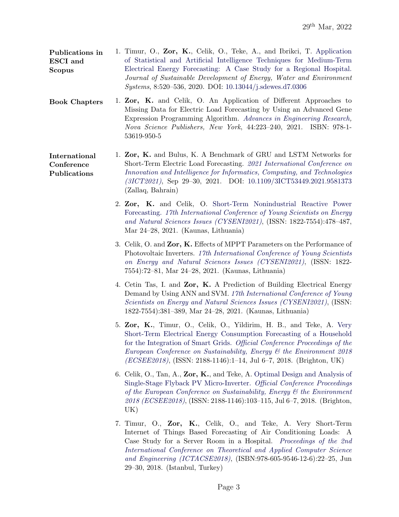| Publications in | 1. Timur, O., Zor, K., Celik, O., Teke, A., and Ibrikci, T. Application |  |
|-----------------|-------------------------------------------------------------------------|--|
| <b>ESCI</b> and | of Statistical and Artificial Intelligence Techniques for Medium-Term   |  |
| <b>Scopus</b>   | Electrical Energy Forecasting: A Case Study for a Regional Hospital.    |  |
|                 | Journal of Sustainable Development of Energy, Water and Environment     |  |
|                 | <i>Systems</i> , 8:520-536, 2020. DOI: 10.13044/j.sdewes.d7.0306        |  |

- Book Chapters 1. Zor, K. and Celik, O. An Application of Different Approaches to Missing Data for Electric Load Forecasting by Using an Advanced Gene Expression Programming Algorithm. [Advances in Engineering Research,](https://novapublishers.com/shop/advances-in-engineering-research-volume-44/) Nova Science Publishers, New York, 44:223–240, 2021. ISBN: 978-1- 53619-950-5
- International **Conference** Publications 1. Zor, K. and Bulus, K. A Benchmark of GRU and LSTM Networks for Short-Term Electric Load Forecasting. [2021 International Conference on](http://iiict.uob.edu.bh/3ict21/) [Innovation and Intelligence for Informatics, Computing, and Technologies](http://iiict.uob.edu.bh/3ict21/) [\(3ICT2021\)](http://iiict.uob.edu.bh/3ict21/), Sep 29–30, 2021. DOI: [10.1109/3ICT53449.2021.9581373](https://doi.org/10.1109/3ICT53449.2021.9581373) (Zallaq, Bahrain)
	- 2. Zor, K. and Celik, O. [Short-Term Nonindustrial Reactive Power](https://www.researchgate.net/publication/355470563_SHORT-TERM_NONINDUSTRIAL_REACTIVE_POWER_FORECASTING) [Forecasting.](https://www.researchgate.net/publication/355470563_SHORT-TERM_NONINDUSTRIAL_REACTIVE_POWER_FORECASTING) [17th International Conference of Young Scientists on Energy](http://cyseni.com) [and Natural Sciences Issues \(CYSENI2021\)](http://cyseni.com), (ISSN: 1822-7554):478–487, Mar 24–28, 2021. (Kaunas, Lithuania)
	- 3. Celik, O. and Zor, K. Effects of MPPT Parameters on the Performance of Photovoltaic Inverters. [17th International Conference of Young Scientists](http://cyseni.com) [on Energy and Natural Sciences Issues \(CYSENI2021\)](http://cyseni.com), (ISSN: 1822- 7554):72–81, Mar 24–28, 2021. (Kaunas, Lithuania)
	- 4. Cetin Tas, I. and Zor, K. A Prediction of Building Electrical Energy Demand by Using ANN and SVM. [17th International Conference of Young](http://cyseni.com) [Scientists on Energy and Natural Sciences Issues \(CYSENI2021\)](http://cyseni.com), (ISSN: 1822-7554):381–389, Mar 24–28, 2021. (Kaunas, Lithuania)
	- 5. Zor, K., Timur, O., Celik, O., Yildirim, H. B., and Teke, A. [Very](http://25qt511nswfi49iayd31ch80-wpengine.netdna-ssl.com/wp-content/uploads/papers/ecsee2018/ECSEE2018_39266.pdf) [Short-Term Electrical Energy Consumption Forecasting of a Household](http://25qt511nswfi49iayd31ch80-wpengine.netdna-ssl.com/wp-content/uploads/papers/ecsee2018/ECSEE2018_39266.pdf) [for the Integration of Smart Grids.](http://25qt511nswfi49iayd31ch80-wpengine.netdna-ssl.com/wp-content/uploads/papers/ecsee2018/ECSEE2018_39266.pdf) [Official Conference Proceedings of the](https://ecsee.iafor.org) [European Conference on Sustainability, Energy & the Environment 2018](https://ecsee.iafor.org) [\(ECSEE2018\)](https://ecsee.iafor.org), (ISSN: 2188-1146):1–14, Jul 6–7, 2018. (Brighton, UK)
	- 6. Celik, O., Tan, A., Zor, K., and Teke, A. [Optimal Design and Analysis of](http://25qt511nswfi49iayd31ch80-wpengine.netdna-ssl.com/wp-content/uploads/papers/ecsee2018/ECSEE2018_41431.pdf) [Single-Stage Flyback PV Micro-Inverter.](http://25qt511nswfi49iayd31ch80-wpengine.netdna-ssl.com/wp-content/uploads/papers/ecsee2018/ECSEE2018_41431.pdf) [Official Conference Proceedings](https://ecsee.iafor.org) [of the European Conference on Sustainability, Energy & the Environment](https://ecsee.iafor.org) [2018 \(ECSEE2018\)](https://ecsee.iafor.org), (ISSN: 2188-1146):103–115, Jul 6–7, 2018. (Brighton, UK)
	- 7. Timur, O., Zor, K., Celik, O., and Teke, A. Very Short-Term Internet of Things Based Forecasting of Air Conditioning Loads: A Case Study for a Server Room in a Hospital. [Proceedings of the 2nd](http://www.ictacse.com/index.php/en/) [International Conference on Theoretical and Applied Computer Science](http://www.ictacse.com/index.php/en/) [and Engineering \(ICTACSE2018\)](http://www.ictacse.com/index.php/en/), (ISBN:978-605-9546-12-6):22–25, Jun 29–30, 2018. (Istanbul, Turkey)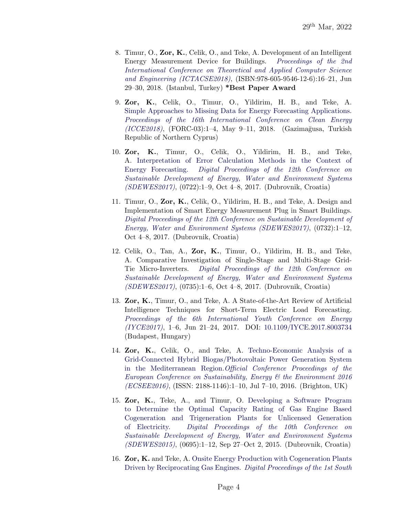- 8. Timur, O., Zor, K., Celik, O., and Teke, A. Development of an Intelligent Energy Measurement Device for Buildings. [Proceedings of the 2nd](http://www.ictacse.com/index.php/en/) [International Conference on Theoretical and Applied Computer Science](http://www.ictacse.com/index.php/en/) [and Engineering \(ICTACSE2018\)](http://www.ictacse.com/index.php/en/), (ISBN:978-605-9546-12-6):16–21, Jun 29–30, 2018. (Istanbul, Turkey) \*Best Paper Award
- 9. Zor, K., Celik, O., Timur, O., Yildirim, H. B., and Teke, A. [Simple Approaches to Missing Data for Energy Forecasting Applications.](https://www.researchgate.net/publication/325181817_Simple_Approaches_to_Missing_Data_for_Energy_Forecasting_Applications) [Proceedings of the 16th International Conference on Clean Energy](http://icce2018.emu.edu.tr/en)  $(ICCE2018)$ ,  $(FORC-03):1-4$ , May 9-11, 2018.  $(Gazimağusa, Turkish)$ Republic of Northern Cyprus)
- 10. Zor, K., Timur, O., Celik, O., Yildirim, H. B., and Teke, A. [Interpretation of Error Calculation Methods in the Context of](https://www.researchgate.net/publication/320310871_Interpretation_of_Error_Calculation_Methods_in_the_Context_of_Energy_Forecasting) [Energy Forecasting.](https://www.researchgate.net/publication/320310871_Interpretation_of_Error_Calculation_Methods_in_the_Context_of_Energy_Forecasting) [Digital Proceedings of the 12th Conference on](http://www.dubrovnik2017.sdewes.org) [Sustainable Development of Energy, Water and Environment Systems](http://www.dubrovnik2017.sdewes.org) [\(SDEWES2017\)](http://www.dubrovnik2017.sdewes.org), (0722):1–9, Oct 4–8, 2017. (Dubrovnik, Croatia)
- 11. Timur, O., Zor, K., Celik, O., Yildirim, H. B., and Teke, A. Design and Implementation of Smart Energy Measurement Plug in Smart Buildings. [Digital Proceedings of the 12th Conference on Sustainable Development of](http://www.dubrovnik2017.sdewes.org) [Energy, Water and Environment Systems \(SDEWES2017\)](http://www.dubrovnik2017.sdewes.org), (0732):1–12, Oct 4–8, 2017. (Dubrovnik, Croatia)
- 12. Celik, O., Tan, A., Zor, K., Timur, O., Yildirim, H. B., and Teke, A. Comparative Investigation of Single-Stage and Multi-Stage Grid-Tie Micro-Inverters. [Digital Proceedings of the 12th Conference on](http://www.dubrovnik2017.sdewes.org) [Sustainable Development of Energy, Water and Environment Systems](http://www.dubrovnik2017.sdewes.org) [\(SDEWES2017\)](http://www.dubrovnik2017.sdewes.org), (0735):1–6, Oct 4–8, 2017. (Dubrovnik, Croatia)
- 13. Zor, K., Timur, O., and Teke, A. A State-of-the-Art Review of Artificial Intelligence Techniques for Short-Term Electric Load Forecasting. [Proceedings of the 6th International Youth Conference on Energy](http://www.iyce-conf.org) [\(IYCE2017\)](http://www.iyce-conf.org), 1–6, Jun 21–24, 2017. DOI: [10.1109/IYCE.2017.8003734](https://doi.org/10.1109/IYCE.2017.8003734) (Budapest, Hungary)
- 14. Zor, K., Celik, O., and Teke, A. [Techno-Economic Analysis of a](http://papers.iafor.org/wp-content/uploads/papers/ecsee2016/ECSEE2016_26456.pdf) [Grid-Connected Hybrid Biogas/Photovoltaic Power Generation System](http://papers.iafor.org/wp-content/uploads/papers/ecsee2016/ECSEE2016_26456.pdf) [in the Mediterranean Region.](http://papers.iafor.org/wp-content/uploads/papers/ecsee2016/ECSEE2016_26456.pdf)[Official Conference Proceedings of the](https://ecsee.iafor.org/ecsee2016/) [European Conference on Sustainability, Energy & the Environment 2016](https://ecsee.iafor.org/ecsee2016/) [\(ECSEE2016\)](https://ecsee.iafor.org/ecsee2016/), (ISSN: 2188-1146):1–10, Jul 7–10, 2016. (Brighton, UK)
- 15. Zor, K., Teke, A., and Timur, O. [Developing a Software Program](https://www.researchgate.net/publication/312054399_Developing_a_Software_Program_to_Determine_the_Optimal_Capacity_Rating_of_Gas_Engine_Based_Cogeneration_and_Trigeneration_Plants_for_Unlicensed_Generation_of_Electricity) [to Determine the Optimal Capacity Rating of Gas Engine Based](https://www.researchgate.net/publication/312054399_Developing_a_Software_Program_to_Determine_the_Optimal_Capacity_Rating_of_Gas_Engine_Based_Cogeneration_and_Trigeneration_Plants_for_Unlicensed_Generation_of_Electricity) [Cogeneration and Trigeneration Plants for Unlicensed Generation](https://www.researchgate.net/publication/312054399_Developing_a_Software_Program_to_Determine_the_Optimal_Capacity_Rating_of_Gas_Engine_Based_Cogeneration_and_Trigeneration_Plants_for_Unlicensed_Generation_of_Electricity) [of Electricity.](https://www.researchgate.net/publication/312054399_Developing_a_Software_Program_to_Determine_the_Optimal_Capacity_Rating_of_Gas_Engine_Based_Cogeneration_and_Trigeneration_Plants_for_Unlicensed_Generation_of_Electricity) [Digital Proceedings of the 10th Conference on](http://www.dubrovnik2015.sdewes.org) [Sustainable Development of Energy, Water and Environment Systems](http://www.dubrovnik2015.sdewes.org) [\(SDEWES2015\)](http://www.dubrovnik2015.sdewes.org), (0695):1–12, Sep 27–Oct 2, 2015. (Dubrovnik, Croatia)
- 16. Zor, K. and Teke, A. [Onsite Energy Production with Cogeneration Plants](https://www.researchgate.net/publication/263846847_Onsite_Energy_Production_with_Cogeneration_Plants_Driven_by_Reciprocating_Gas_Engines) [Driven by Reciprocating Gas Engines.](https://www.researchgate.net/publication/263846847_Onsite_Energy_Production_with_Cogeneration_Plants_Driven_by_Reciprocating_Gas_Engines) [Digital Proceedings of the 1st South](http://www.ohrid2014.sdewes.org)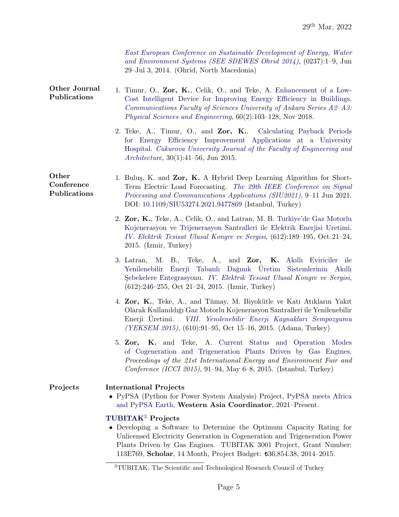| East European Conference on Sustainable Development of Energy, Water |  |
|----------------------------------------------------------------------|--|
| and Environment Systems (SEE SDEWES Ohrid 2014), $(0237):1-9$ , Jun  |  |
| $29$ -Jul 3, 2014. (Ohrid, North Macedonia)                          |  |

- Other Journal Publications 1. Timur, O., Zor, K., Celik, O., and Teke, A. [Enhancement of a Low-](http://dergipark.gov.tr/download/article-file/577284)[Cost Intelligent Device for Improving Energy Efficiency in Buildings.](http://dergipark.gov.tr/download/article-file/577284) [Communications Faculty of Sciences University of Ankara Series A2–A3:](http://dergipark.gov.tr/aupse) [Physical Sciences and Engineering](http://dergipark.gov.tr/aupse), 60(2):103–128, Nov 2018.
	- 2. Teke, A., Timur, O., and Zor, K.. [Calculating Payback Periods](http://dergipark.gov.tr/download/article-file/211206) [for Energy Efficiency Improvement Applications at a University](http://dergipark.gov.tr/download/article-file/211206) [Hospital.](http://dergipark.gov.tr/download/article-file/211206) [Cukurova University Journal of the Faculty of Engineering and](http://dergipark.gov.tr/cukurovaummfd) [Architecture](http://dergipark.gov.tr/cukurovaummfd), 30(1):41–56, Jun 2015.
- **Other** Conference Publications 1. Bulus, K. and Zor, K. A Hybrid Deep Learning Algorithm for Short-Term Electric Load Forecasting. [The 29th IEEE Conference on Signal](https://siu2021.bau.edu.tr/tr/) [Processing and Communications Applications \(SIU2021\)](https://siu2021.bau.edu.tr/tr/), 9–11 Jun 2021. DOI: [10.1109/SIU53274.2021.9477869](https://ieeexplore.ieee.org/document/9477869) (Istanbul, Turkey)
	- 2. Zor, K., Teke, A., Celik, O., and Latran, M. B. [Turkiye'de Gaz Motorlu](https://www.researchgate.net/publication/309859143_Turkiye%27de_Gaz_Motorlu_Kojenerasyon_ve_Trijenerasyon_Santralleri_ile_Elektrik_Enerjisi_Uretimi) [Kojenerasyon ve Trijenerasyon Santralleri ile Elektrik Enerjisi Uretimi.](https://www.researchgate.net/publication/309859143_Turkiye%27de_Gaz_Motorlu_Kojenerasyon_ve_Trijenerasyon_Santralleri_ile_Elektrik_Enerjisi_Uretimi) [IV. Elektrik Tesisat Ulusal Kongre ve Sergisi](http://www.emo.org.tr/etkinlikler/etuk/index.php?etkinlikkod=234), (612):189–195, Oct 21–24, 2015. (Izmir, Turkey)
	- 3. Latran, M. B., Teke, A., and Zor, K. [Akıllı Eviriciler ile](https://www.researchgate.net/profile/Kasim_Zor/publication/309859332_Akilli_Eviriciler_ile_Yenilenebilir_Enerji_Tabanli_Daginik_Uretim_Sistemlerinin_Akilli_Sebekelere_Entegrasyonu/links/586cb3ed08ae8fce4919f1b2/Akilli-Eviriciler-ile-Yenilenebilir-Enerji-Tabanli-Daginik-Ueretim-Sistemlerinin-Akilli-Sebekelere-Entegrasyonu.pdf) Yenilenebilir Enerji Tabanlı Dağınık Üretim Sistemlerinin Akıllı Sebekelere Entegrasyonu. [IV. Elektrik Tesisat Ulusal Kongre ve Sergisi](http://www.emo.org.tr/etkinlikler/etuk/index.php?etkinlikkod=234), (612):246–255, Oct 21–24, 2015. (Izmir, Turkey)
	- 4. Zor, K., Teke, A., and Tümay, M. Biyokütle ve Katı Atıkların Yakıt Olarak Kullanıldı˘gı Gaz Motorlu Kojenerasyon Santralleri ile Yenilenebilir Enerji Üretimi. *[VIII. Yenilenebilir Enerji Kaynakları Sempozyumu](http://www.emo.org.tr/etkinlikler/yeksem/index.php?etkinlikkod=241)* [\(YEKSEM 2015\)](http://www.emo.org.tr/etkinlikler/yeksem/index.php?etkinlikkod=241), (610):91–95, Oct 15–16, 2015. (Adana, Turkey)
	- 5. Zor, K. and Teke, A. [Current Status and Operation Modes](https://www.researchgate.net/publication/312069728_Current_Status_and_Operation_Modes_of_Cogeneration_and_Trigeneration_Plants_Driven_by_Gas_Engines) [of Cogeneration and Trigeneration Plants Driven by Gas Engines.](https://www.researchgate.net/publication/312069728_Current_Status_and_Operation_Modes_of_Cogeneration_and_Trigeneration_Plants_Driven_by_Gas_Engines) Proceedings of the 21st International Energy and Environment Fair and Conference (ICCI 2015), 91–94, May 6–8, 2015. (Istanbul, Turkey)

## Projects International Projects

• PyPSA (Python for Power System Analysis) Project, [PyPSA meets Africa](https://pypsa-meets-africa.readthedocs.io/en/latest/project_structure_and_credits.html) [and PyPSA Earth,](https://pypsa-meets-africa.readthedocs.io/en/latest/project_structure_and_credits.html) Western Asia Coordinator, 2021–Present.

# [TUBITAK](https://www.tubitak.gov.tr/en)[3](#page-4-0) Projects

• Developing a Software to Determine the Optimum Capacity Rating for Unlicensed Electricity Generation in Cogeneration and Trigeneration Power Plants Driven by Gas Engines. TUBITAK 3001 Project, Grant Number: 113E769, Scholar, 14 Month, Project Budget: 36,854.38, 2014–2015.

<span id="page-4-0"></span><sup>&</sup>lt;sup>3</sup>TUBITAK: The Scientific and Technological Research Council of Turkey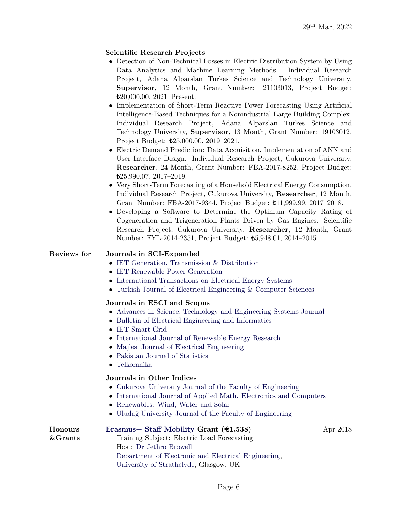# Scientific Research Projects

- Detection of Non-Technical Losses in Electric Distribution System by Using Data Analytics and Machine Learning Methods. Individual Research Project, Adana Alparslan Turkes Science and Technology University, Supervisor, 12 Month, Grant Number: 21103013, Project Budget: 20,000.00, 2021–Present.
- Implementation of Short-Term Reactive Power Forecasting Using Artificial Intelligence-Based Techniques for a Nonindustrial Large Building Complex. Individual Research Project, Adana Alparslan Turkes Science and Technology University, Supervisor, 13 Month, Grant Number: 19103012, Project Budget:  $t25,000.00$ , 2019–2021.
- Electric Demand Prediction: Data Acquisition, Implementation of ANN and User Interface Design. Individual Research Project, Cukurova University, Researcher, 24 Month, Grant Number: FBA-2017-8252, Project Budget: 25,990.07, 2017–2019.
- Very Short-Term Forecasting of a Household Electrical Energy Consumption. Individual Research Project, Cukurova University, Researcher, 12 Month, Grant Number: FBA-2017-9344, Project Budget: 11,999.99, 2017–2018.
- Developing a Software to Determine the Optimum Capacity Rating of Cogeneration and Trigeneration Plants Driven by Gas Engines. Scientific Research Project, Cukurova University, Researcher, 12 Month, Grant Number: FYL-2014-2351, Project Budget: 5,948.01, 2014–2015.

#### Reviews for Journals in SCI-Expanded

- [IET Generation, Transmission & Distribution](http://digital-library.theiet.org/content/journals/iet-gtd)
- [IET Renewable Power Generation](http://digital-library.theiet.org/content/journals/iet-rpg)
- [International Transactions on Electrical Energy Systems](http://onlinelibrary.wiley.com/journal/10.1002/(ISSN)2050-7038)
- [Turkish Journal of Electrical Engineering & Computer Sciences](https://journals.tubitak.gov.tr/elektrik/index.htm)

#### Journals in ESCI and Scopus

- [Advances in Science, Technology and Engineering Systems Journal](https://astesj.com)
- [Bulletin of Electrical Engineering and Informatics](https://beei.org)
- [IET Smart Grid](https://digital-library.theiet.org/content/journals/iet-stg)
- [International Journal of Renewable Energy Research](http://www.ijrer.org)
- [Majlesi Journal of Electrical Engineering](http://mjee.iaumajlesi.ac.ir)
- [Pakistan Journal of Statistics](http://www.pakjs.com)
- [Telkomnika](http://journal.uad.ac.id/index.php/TELKOMNIKA)

## Journals in Other Indices

- [Cukurova University Journal of the Faculty of Engineering](https://dergipark.org.tr/en/pub/cukurovaumfd)
- [International Journal of Applied Math. Electronics and Computers](https://dergipark.org.tr/en/pub/ijamec)
- [Renewables: Wind, Water and Solar](https://jrenewables.springeropen.com)
- Uludağ University Journal of the Faculty of Engineering

| Honours     | Erasmus + Staff Mobility Grant $(\epsilon 1, 538)$   | Apr 2018 |
|-------------|------------------------------------------------------|----------|
| $\&$ Grants | Training Subject: Electric Load Forecasting          |          |
|             | Host: Dr Jethro Browell                              |          |
|             | Department of Electronic and Electrical Engineering, |          |
|             | University of Strathclyde, Glasgow, UK               |          |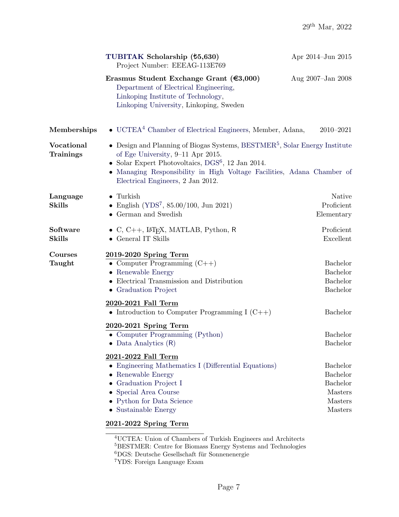| Erasmus Student Exchange Grant $(€3,000)$<br>Department of Electrical Engineering,<br>Linkoping Institute of Technology,<br>Linkoping University, Linkoping, Sweden<br>$\bullet$ UCTEA <sup>4</sup> Chamber of Electrical Engineers, Member, Adana,<br>• Design and Planning of Biogas Systems, $\text{BESTMER}^5$ , Solar Energy Institute | Aug 2007-Jan 2008<br>2010-2021                                |
|---------------------------------------------------------------------------------------------------------------------------------------------------------------------------------------------------------------------------------------------------------------------------------------------------------------------------------------------|---------------------------------------------------------------|
|                                                                                                                                                                                                                                                                                                                                             |                                                               |
|                                                                                                                                                                                                                                                                                                                                             |                                                               |
| of Ege University, 9–11 Apr 2015.<br>• Solar Expert Photovoltaics, $DGS^6$ , 12 Jan 2014.<br>• Managing Responsibility in High Voltage Facilities, Adana Chamber of<br>Electrical Engineers, 2 Jan 2012.                                                                                                                                    |                                                               |
| • English (YDS <sup>7</sup> , 85.00/100, Jun 2021)<br>$\bullet$ German and Swedish                                                                                                                                                                                                                                                          | Native<br>Proficient<br>Elementary                            |
| $\bullet$ C, C++, L <sup>A</sup> T <sub>F</sub> X, MATLAB, Python, R                                                                                                                                                                                                                                                                        | Proficient<br>Excellent                                       |
| 2019-2020 Spring Term<br>• Computer Programming $(C++)$<br>• Electrical Transmission and Distribution<br>• Graduation Project                                                                                                                                                                                                               | <b>Bachelor</b><br>Bachelor<br>Bachelor<br>Bachelor           |
| 2020-2021 Fall Term<br>• Introduction to Computer Programming I $(C++)$                                                                                                                                                                                                                                                                     | Bachelor                                                      |
| 2020-2021 Spring Term<br>• Computer Programming (Python)<br>Data Analytics (R)                                                                                                                                                                                                                                                              | <b>Bachelor</b><br>Bachelor                                   |
| 2021-2022 Fall Term<br>• Engineering Mathematics I (Differential Equations)<br>• Graduation Project I<br>• Special Area Course<br>• Python for Data Science                                                                                                                                                                                 | <b>Bachelor</b><br>Bachelor<br>Bachelor<br>Masters<br>Masters |
|                                                                                                                                                                                                                                                                                                                                             |                                                               |

<span id="page-6-1"></span><span id="page-6-0"></span><sup>4</sup>UCTEA: Union of Chambers of Turkish Engineers and Architects  $^{5}\mbox{BESTMER: Centre for Biomass Energy Systems and Technologies}$  ${}^6\mathrm{DGS}$ : Deutsche Gesellschaft für Sonnenenergie

<span id="page-6-3"></span><span id="page-6-2"></span><sup>7</sup>YDS: Foreign Language Exam